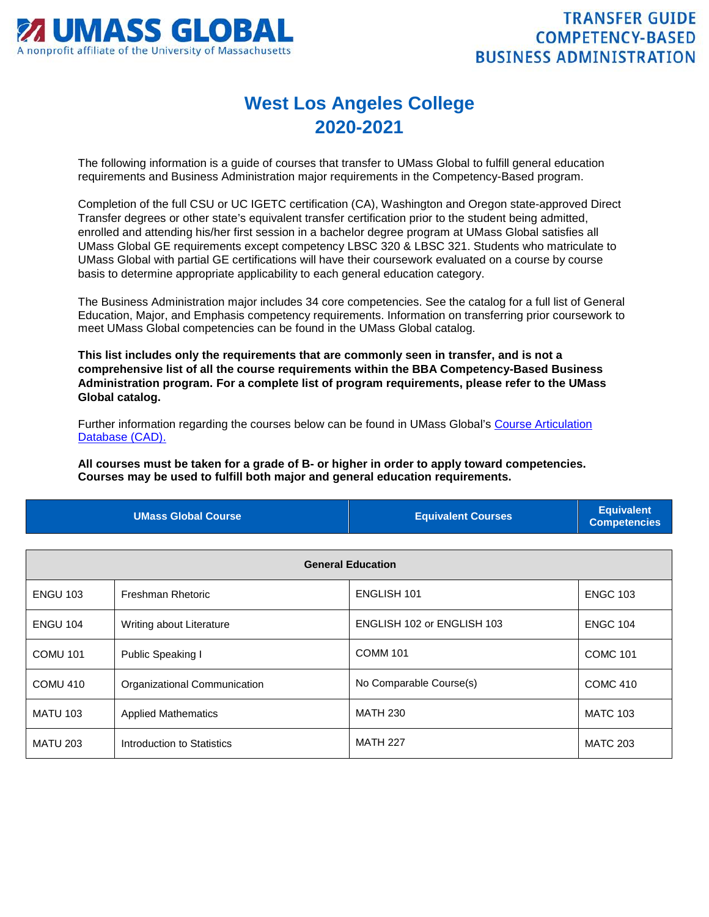

## **West Los Angeles College 2020-2021**

The following information is a guide of courses that transfer to UMass Global to fulfill general education requirements and Business Administration major requirements in the Competency-Based program.

Completion of the full CSU or UC IGETC certification (CA), Washington and Oregon state-approved Direct Transfer degrees or other state's equivalent transfer certification prior to the student being admitted, enrolled and attending his/her first session in a bachelor degree program at UMass Global satisfies all UMass Global GE requirements except competency LBSC 320 & LBSC 321. Students who matriculate to UMass Global with partial GE certifications will have their coursework evaluated on a course by course basis to determine appropriate applicability to each general education category.

The Business Administration major includes 34 core competencies. See the catalog for a full list of General Education, Major, and Emphasis competency requirements. Information on transferring prior coursework to meet UMass Global competencies can be found in the UMass Global catalog.

**This list includes only the requirements that are commonly seen in transfer, and is not a comprehensive list of all the course requirements within the BBA Competency-Based Business Administration program. For a complete list of program requirements, please refer to the UMass Global catalog.**

Further information regarding the courses below can be found in UMass Global's [Course Articulation](http://services.umassglobal.edu/studentservices/TransferCredit/)  [Database \(CAD\).](http://services.umassglobal.edu/studentservices/TransferCredit/) 

**All courses must be taken for a grade of B- or higher in order to apply toward competencies. Courses may be used to fulfill both major and general education requirements.** 

| <b>UMass Global Course</b> | <b>Equivalent Courses</b> | <b>Equivalent</b><br><b>Competencies</b> |
|----------------------------|---------------------------|------------------------------------------|
|                            |                           |                                          |

| <b>General Education</b> |                              |                            |                 |
|--------------------------|------------------------------|----------------------------|-----------------|
| <b>ENGU 103</b>          | Freshman Rhetoric            | <b>ENGLISH 101</b>         | <b>ENGC 103</b> |
| <b>ENGU 104</b>          | Writing about Literature     | ENGLISH 102 or ENGLISH 103 | <b>ENGC 104</b> |
| <b>COMU 101</b>          | Public Speaking I            | <b>COMM 101</b>            | <b>COMC 101</b> |
| COMU <sub>410</sub>      | Organizational Communication | No Comparable Course(s)    | <b>COMC 410</b> |
| <b>MATU 103</b>          | <b>Applied Mathematics</b>   | <b>MATH 230</b>            | <b>MATC 103</b> |
| <b>MATU 203</b>          | Introduction to Statistics   | <b>MATH 227</b>            | <b>MATC 203</b> |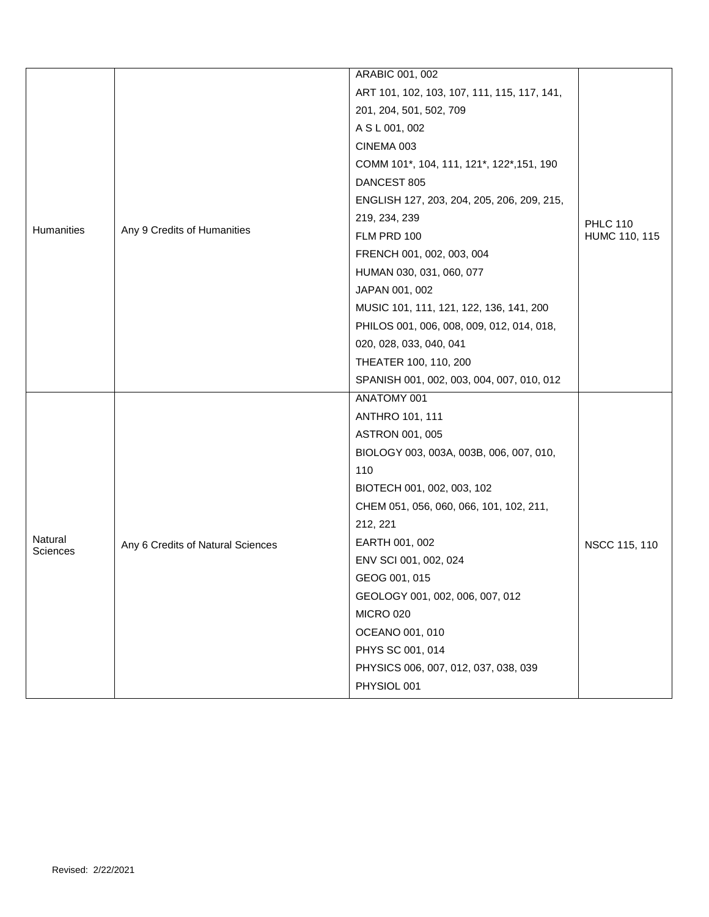|                     |                                   | ARABIC 001, 002                             |                                  |
|---------------------|-----------------------------------|---------------------------------------------|----------------------------------|
|                     |                                   | ART 101, 102, 103, 107, 111, 115, 117, 141, | <b>PHLC 110</b><br>HUMC 110, 115 |
|                     |                                   | 201, 204, 501, 502, 709                     |                                  |
|                     |                                   | A S L 001, 002                              |                                  |
|                     |                                   | CINEMA 003                                  |                                  |
|                     |                                   | COMM 101*, 104, 111, 121*, 122*, 151, 190   |                                  |
|                     |                                   | DANCEST 805                                 |                                  |
|                     |                                   | ENGLISH 127, 203, 204, 205, 206, 209, 215,  |                                  |
|                     |                                   | 219, 234, 239                               |                                  |
| Humanities          | Any 9 Credits of Humanities       | FLM PRD 100                                 |                                  |
|                     |                                   | FRENCH 001, 002, 003, 004                   |                                  |
|                     |                                   | HUMAN 030, 031, 060, 077                    |                                  |
|                     |                                   | JAPAN 001, 002                              |                                  |
|                     |                                   | MUSIC 101, 111, 121, 122, 136, 141, 200     |                                  |
|                     |                                   | PHILOS 001, 006, 008, 009, 012, 014, 018,   |                                  |
|                     |                                   | 020, 028, 033, 040, 041                     |                                  |
|                     |                                   | THEATER 100, 110, 200                       |                                  |
|                     |                                   | SPANISH 001, 002, 003, 004, 007, 010, 012   |                                  |
|                     |                                   | ANATOMY 001                                 |                                  |
|                     |                                   | <b>ANTHRO 101, 111</b>                      |                                  |
|                     |                                   | ASTRON 001, 005                             | NSCC 115, 110                    |
|                     |                                   | BIOLOGY 003, 003A, 003B, 006, 007, 010,     |                                  |
|                     |                                   | 110                                         |                                  |
|                     |                                   | BIOTECH 001, 002, 003, 102                  |                                  |
|                     |                                   | CHEM 051, 056, 060, 066, 101, 102, 211,     |                                  |
|                     |                                   | 212, 221                                    |                                  |
| Natural<br>Sciences | Any 6 Credits of Natural Sciences | EARTH 001, 002                              |                                  |
|                     |                                   | ENV SCI 001, 002, 024                       |                                  |
|                     |                                   | GEOG 001, 015                               |                                  |
|                     |                                   | GEOLOGY 001, 002, 006, 007, 012             |                                  |
|                     |                                   | <b>MICRO 020</b>                            |                                  |
|                     |                                   | OCEANO 001, 010                             |                                  |
|                     |                                   | PHYS SC 001, 014                            |                                  |
|                     |                                   | PHYSICS 006, 007, 012, 037, 038, 039        |                                  |
|                     |                                   | PHYSIOL 001                                 |                                  |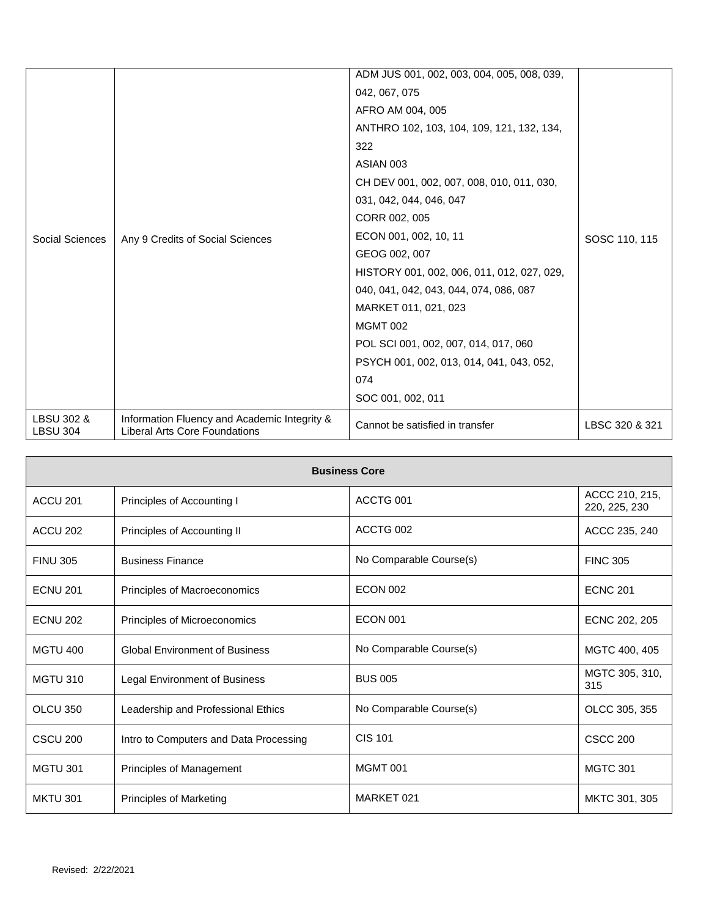|                               |                                                                                      | ADM JUS 001, 002, 003, 004, 005, 008, 039, |                |
|-------------------------------|--------------------------------------------------------------------------------------|--------------------------------------------|----------------|
|                               |                                                                                      | 042, 067, 075                              |                |
|                               |                                                                                      | AFRO AM 004, 005                           | SOSC 110, 115  |
|                               |                                                                                      | ANTHRO 102, 103, 104, 109, 121, 132, 134,  |                |
|                               |                                                                                      | 322                                        |                |
|                               |                                                                                      | ASIAN 003                                  |                |
|                               |                                                                                      | CH DEV 001, 002, 007, 008, 010, 011, 030,  |                |
| Social Sciences               |                                                                                      | 031, 042, 044, 046, 047                    |                |
|                               | Any 9 Credits of Social Sciences                                                     | CORR 002, 005                              |                |
|                               |                                                                                      | ECON 001, 002, 10, 11                      |                |
|                               |                                                                                      | GEOG 002, 007                              |                |
|                               |                                                                                      | HISTORY 001, 002, 006, 011, 012, 027, 029, |                |
|                               |                                                                                      | 040, 041, 042, 043, 044, 074, 086, 087     |                |
|                               |                                                                                      | MARKET 011, 021, 023                       |                |
|                               |                                                                                      | <b>MGMT 002</b>                            |                |
|                               |                                                                                      | POL SCI 001, 002, 007, 014, 017, 060       |                |
|                               |                                                                                      | PSYCH 001, 002, 013, 014, 041, 043, 052,   |                |
|                               |                                                                                      | 074                                        |                |
|                               |                                                                                      | SOC 001, 002, 011                          |                |
| LBSU 302 &<br><b>LBSU 304</b> | Information Fluency and Academic Integrity &<br><b>Liberal Arts Core Foundations</b> | Cannot be satisfied in transfer            | LBSC 320 & 321 |

| <b>Business Core</b> |                                        |                         |                                 |
|----------------------|----------------------------------------|-------------------------|---------------------------------|
| ACCU <sub>201</sub>  | Principles of Accounting I             | ACCTG 001               | ACCC 210, 215,<br>220, 225, 230 |
| ACCU <sub>202</sub>  | Principles of Accounting II            | ACCTG 002               | ACCC 235, 240                   |
| <b>FINU 305</b>      | <b>Business Finance</b>                | No Comparable Course(s) | <b>FINC 305</b>                 |
| <b>ECNU 201</b>      | Principles of Macroeconomics           | <b>ECON 002</b>         | <b>ECNC 201</b>                 |
| <b>ECNU 202</b>      | Principles of Microeconomics           | <b>ECON 001</b>         | ECNC 202, 205                   |
| <b>MGTU 400</b>      | <b>Global Environment of Business</b>  | No Comparable Course(s) | MGTC 400, 405                   |
| <b>MGTU 310</b>      | <b>Legal Environment of Business</b>   | <b>BUS 005</b>          | MGTC 305, 310,<br>315           |
| OLCU 350             | Leadership and Professional Ethics     | No Comparable Course(s) | OLCC 305, 355                   |
| <b>CSCU 200</b>      | Intro to Computers and Data Processing | <b>CIS 101</b>          | <b>CSCC 200</b>                 |
| <b>MGTU 301</b>      | Principles of Management               | MGMT 001                | <b>MGTC 301</b>                 |
| <b>MKTU 301</b>      | <b>Principles of Marketing</b>         | MARKET 021              | MKTC 301, 305                   |